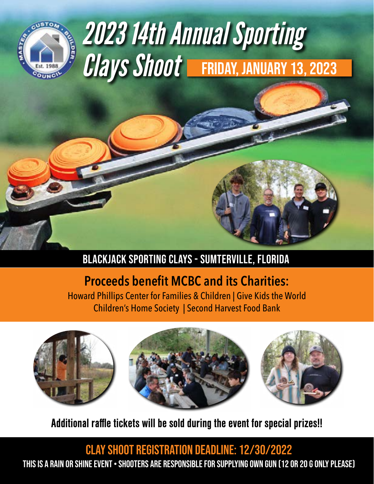

# *2023 14th Annual Sporting Clays Shoot* FRIDAY, JANUARY 13, 2023

## BlackJack Sporting Clays - Sumterville, Florida

# **Proceeds benefit MCBC and its Charities:**

Howard Phillips Center for Families & Children | Give Kids the World Children's Home Society | Second Harvest Food Bank







Additional raffle tickets will be sold during the event for special prizes!!

Clay Shoot Registration deadline: 12/30/2022 This is a Rain or Shine Event • Shooters are responsible for supplying own Gun (12 or 20 g only please)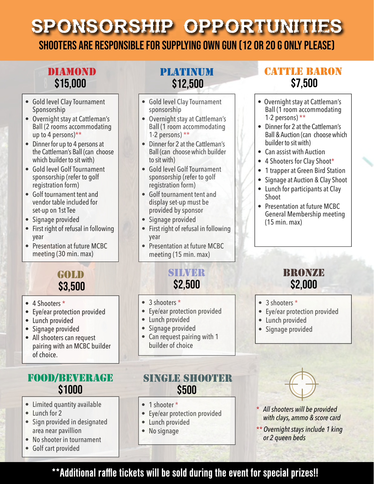# Sponsorship Opportunities

Shooters are responsible for supplying own Gun (12 or 20 g only please)

#### **DIAMOND** \$15,000

- Gold level Clay Tournament Sponsorship
- Overnight stay at Cattleman's Ball (2 rooms accommodating up to 4 persons)\*\*
- Dinner for up to 4 persons at the Cattleman's Ball (can choose which builder to sit with)
- Gold level Golf Tournament sponsorship (refer to golf registration form)
- Golf tournament tent and vendor table included for set-up on 1st Tee
- Signage provided
- First right of refusal in following year
- Presentation at future MCBC meeting (30 min. max)

#### GOLD \$3,500

- 4 Shooters \*
- Eye/ear protection provided
- Lunch provided
- Signage provided
- All shooters can request pairing with an MCBC builder of choice.

#### Food/beverage \$1000

- Limited quantity available
- Lunch for 2
- Sign provided in designated area near pavillion
- No shooter in tournament
- Golf cart provided

## Platinum \$12,500

- Gold level Clay Tournament sponsorship
- Overnight stay at Cattleman's Ball (1 room accommodating 1-2 persons)  $**$
- Dinner for 2 at the Cattleman's Ball (can choose which builder to sit with)
- Gold level Golf Tournament sponsorship (refer to golf registration form)
- Golf tournament tent and display set-up must be provided by sponsor
- Signage provided
- First right of refusal in following year
- Presentation at future MCBC meeting (15 min. max)

# SILVER \$2,500

- 3 shooters \*
- Eye/ear protection provided
- Lunch provided
- Signage provided
- Can request pairing with 1 builder of choice

#### SINGLE SHOOTER \$500

- 1 shooter \*
- Eye/ear protection provided
- Lunch provided
- No signage

## **CATTLE BARON** \$7,500

- Overnight stay at Cattleman's Ball (1 room accommodating 1-2 persons) \*\*
- Dinner for 2 at the Cattleman's Ball & Auction (can choose which builder to sit with)
- Can assist with Auction
- 4 Shooters for Clay Shoot\*
- 1 trapper at Green Bird Station
- Signage at Auction & Clay Shoot
- Lunch for participants at Clay Shoot
- Presentation at future MCBC General Membership meeting (15 min. max)

#### **BRONZE** \$2,000

- 3 shooters \*
- Eye/ear protection provided
- Lunch provided
- Signage provided



- *\* All shooters will be provided with clays, ammo & score card*
- *\*\* Overnight stays include 1 king or 2 queen beds*

## \*\*Additional raffle tickets will be sold during the event for special prizes!!